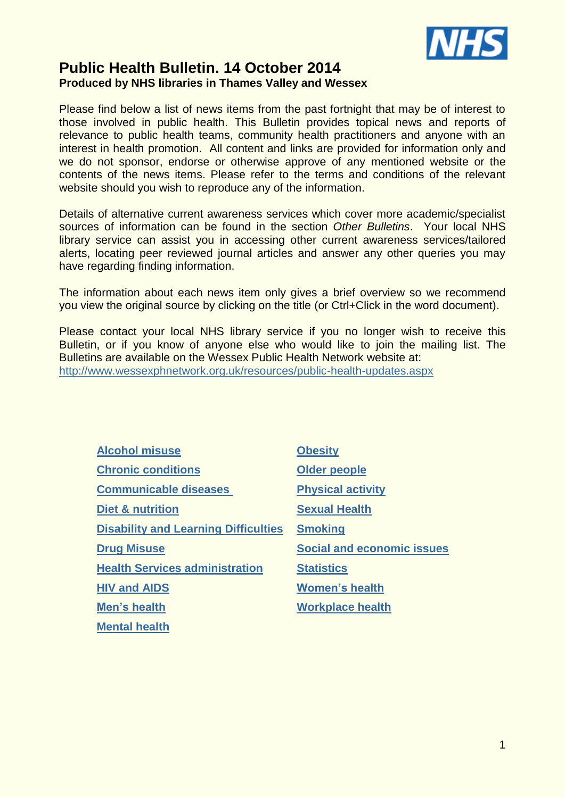

# **Public Health Bulletin. 14 October 2014 Produced by NHS libraries in Thames Valley and Wessex**

Please find below a list of news items from the past fortnight that may be of interest to those involved in public health. This Bulletin provides topical news and reports of relevance to public health teams, community health practitioners and anyone with an interest in health promotion. All content and links are provided for information only and we do not sponsor, endorse or otherwise approve of any mentioned website or the contents of the news items. Please refer to the terms and conditions of the relevant website should you wish to reproduce any of the information.

Details of alternative current awareness services which cover more academic/specialist sources of information can be found in the section *Other Bulletins*. Your local NHS library service can assist you in accessing other current awareness services/tailored alerts, locating peer reviewed journal articles and answer any other queries you may have regarding finding information.

The information about each news item only gives a brief overview so we recommend you view the original source by clicking on the title (or Ctrl+Click in the word document).

Please contact your local NHS library service if you no longer wish to receive this Bulletin, or if you know of anyone else who would like to join the mailing list. The Bulletins are available on the Wessex Public Health Network website at: <http://www.wessexphnetwork.org.uk/resources/public-health-updates.aspx>

| <b>Alcohol misuse</b>                       | <b>Obesity</b>                    |
|---------------------------------------------|-----------------------------------|
| <b>Chronic conditions</b>                   | <b>Older people</b>               |
| <b>Communicable diseases</b>                | <b>Physical activity</b>          |
| <b>Diet &amp; nutrition</b>                 | <b>Sexual Health</b>              |
| <b>Disability and Learning Difficulties</b> | <b>Smoking</b>                    |
| <b>Drug Misuse</b>                          | <b>Social and economic issues</b> |
| <b>Health Services administration</b>       | <b>Statistics</b>                 |
| <b>HIV and AIDS</b>                         | <b>Women's health</b>             |
| Men's health                                | <b>Workplace health</b>           |
| <b>Mental health</b>                        |                                   |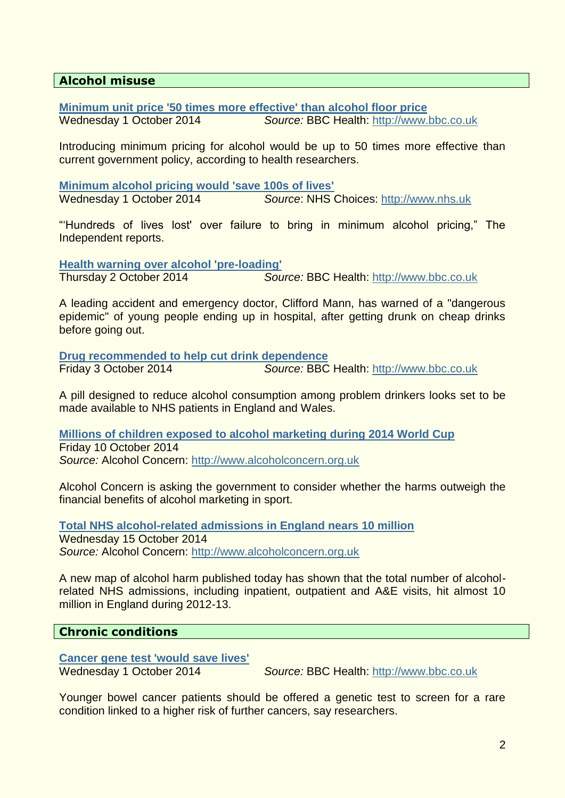# <span id="page-1-0"></span>**Alcohol misuse**

**[Minimum unit price '50 times more effective' than](http://www.bbc.co.uk/news/uk-29433130) alcohol floor price**

Wednesday 1 October 2014 *Source:* BBC Health: [http://www.bbc.co.uk](http://www.bbc.co.uk/)

Introducing minimum pricing for alcohol would be up to 50 times more effective than current government policy, according to health researchers.

**[Minimum alcohol pricing would 'save 100s of lives'](http://www.nhs.uk/news/2014/10October/Pages/Minimum-alcohol-pricing-would-save-100s-of-lives.aspx)** Wednesday 1 October 2014 *Source*: NHS Choices: [http://www.nhs.uk](http://www.nhs.uk/)

"'Hundreds of lives lost' over failure to bring in minimum alcohol pricing," The Independent reports.

**[Health warning over alcohol 'pre-loading'](http://www.bbc.co.uk/news/health-29454768)** Thursday 2 October 2014 *Source:* BBC Health: [http://www.bbc.co.uk](http://www.bbc.co.uk/)

A leading accident and emergency doctor, Clifford Mann, has warned of a "dangerous epidemic" of young people ending up in hospital, after getting drunk on cheap drinks before going out.

**[Drug recommended to help cut drink dependence](http://www.bbc.co.uk/news/uk-29468885)** Friday 3 October 2014 *Source:* BBC Health: [http://www.bbc.co.uk](http://www.bbc.co.uk/)

A pill designed to reduce alcohol consumption among problem drinkers looks set to be made available to NHS patients in England and Wales.

**[Millions of children exposed to alcohol marketing during 2014 World Cup](http://www.alcoholconcern.org.uk/media-centre/news/millions-of-children-exposed-to-alcohol-marketing-during-2014-world-cup)** Friday 10 October 2014 *Source:* Alcohol Concern: [http://www.alcoholconcern.org.uk](http://www.alcoholconcern.org.uk/)

Alcohol Concern is asking the government to consider whether the harms outweigh the financial benefits of alcohol marketing in sport.

**[Total NHS alcohol-related admissions in England nears 10 million](http://www.alcoholconcern.org.uk/media-centre/news/total-nhs-alcohol-related-admissions-in-england-nears-10-million)** Wednesday 15 October 2014 *Source:* Alcohol Concern: [http://www.alcoholconcern.org.uk](http://www.alcoholconcern.org.uk/)

A new map of alcohol harm published today has shown that the total number of alcoholrelated NHS admissions, including inpatient, outpatient and A&E visits, hit almost 10 million in England during 2012-13.

### <span id="page-1-1"></span>**Chronic conditions**

**[Cancer gene test 'would save lives'](http://www.bbc.co.uk/news/health-29427726)**

Wednesday 1 October 2014 *Source:* BBC Health: [http://www.bbc.co.uk](http://www.bbc.co.uk/)

Younger bowel cancer patients should be offered a genetic test to screen for a rare condition linked to a higher risk of further cancers, say researchers.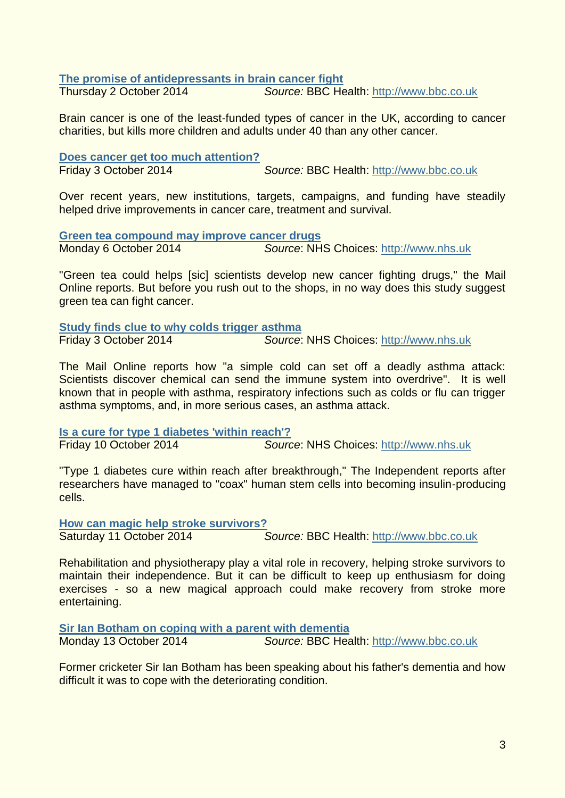#### **[The promise of antidepressants in brain cancer fight](http://www.bbc.co.uk/news/health-29440314)**

Thursday 2 October 2014 *Source:* BBC Health: [http://www.bbc.co.uk](http://www.bbc.co.uk/)

Brain cancer is one of the least-funded types of cancer in the UK, according to cancer charities, but kills more children and adults under 40 than any other cancer.

#### **[Does cancer get too much attention?](http://www.bbc.co.uk/news/health-29363887)**

Friday 3 October 2014 *Source:* BBC Health: [http://www.bbc.co.uk](http://www.bbc.co.uk/)

Over recent years, new institutions, targets, campaigns, and funding have steadily helped drive improvements in cancer care, treatment and survival.

**[Green tea compound may improve cancer drugs](http://www.nhs.uk/news/2014/10October/Pages/Green-tea-compound-may-improve-cancer-drugs.aspx)** Monday 6 October 2014 *Source*: NHS Choices: [http://www.nhs.uk](http://www.nhs.uk/)

"Green tea could helps [sic] scientists develop new cancer fighting drugs," the Mail Online reports. But before you rush out to the shops, in no way does this study suggest green tea can fight cancer.

**Study finds [clue to why colds trigger asthma](http://www.nhs.uk/news/2014/10October/Pages/Study-finds-clue-to-why-colds-trigger-asthma.aspx)** Friday 3 October 2014 *Source*: NHS Choices: [http://www.nhs.uk](http://www.nhs.uk/)

The Mail Online reports how "a simple cold can set off a deadly asthma attack: Scientists discover chemical can send the immune system into overdrive". It is well known that in people with asthma, respiratory infections such as colds or flu can trigger asthma symptoms, and, in more serious cases, an asthma attack.

**[Is a cure for type 1 diabetes 'within reach'?](http://www.nhs.uk/news/2014/10October/Pages/Cure-for-type-1-diabetes-within-reach.aspx)** Friday 10 October 2014 *Source*: NHS Choices: [http://www.nhs.uk](http://www.nhs.uk/)

"Type 1 diabetes cure within reach after breakthrough," The Independent reports after researchers have managed to "coax" human stem cells into becoming insulin-producing cells.

**[How can magic help stroke survivors?](http://www.bbc.co.uk/news/health-29568165)**

Saturday 11 October 2014 *Source:* BBC Health: [http://www.bbc.co.uk](http://www.bbc.co.uk/)

Rehabilitation and physiotherapy play a vital role in recovery, helping stroke survivors to maintain their independence. But it can be difficult to keep up enthusiasm for doing exercises - so a new magical approach could make recovery from stroke more entertaining.

**[Sir Ian Botham on coping with a parent with dementia](http://www.bbc.co.uk/news/uk-england-29525863)**

Monday 13 October 2014 *Source:* BBC Health: [http://www.bbc.co.uk](http://www.bbc.co.uk/)

Former cricketer Sir Ian Botham has been speaking about his father's dementia and how difficult it was to cope with the deteriorating condition.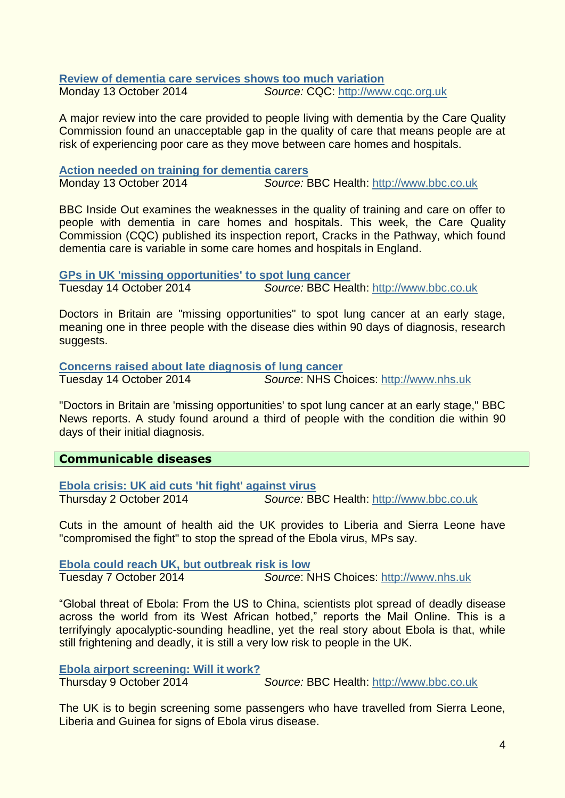#### **[Review of dementia care services shows too much variation](http://www.cqc.org.uk/content/review-dementia-care-services-shows-too-much-variation)** Monday 13 October 2014 *Source:* CQC: [http://www.cqc.org.uk](http://www.cqc.org.uk/)

A major review into the care provided to people living with dementia by the Care Quality Commission found an unacceptable gap in the quality of care that means people are at risk of experiencing poor care as they move between care homes and hospitals.

#### **[Action needed on training for dementia carers](http://www.bbc.co.uk/news/uk-england-29443685)** Monday 13 October 2014 *Source:* BBC Health: [http://www.bbc.co.uk](http://www.bbc.co.uk/)

BBC Inside Out examines the weaknesses in the quality of training and care on offer to people with dementia in care homes and hospitals. This week, the Care Quality Commission (CQC) published its inspection report, Cracks in the Pathway, which found dementia care is variable in some care homes and hospitals in England.

**[GPs in UK 'missing opportunities' to spot lung cancer](http://www.bbc.co.uk/news/health-29596645)**

Tuesday 14 October 2014 *Source:* BBC Health: [http://www.bbc.co.uk](http://www.bbc.co.uk/)

Doctors in Britain are "missing opportunities" to spot lung cancer at an early stage, meaning one in three people with the disease dies within 90 days of diagnosis, research suggests.

**[Concerns raised about late diagnosis of lung cancer](http://www.nhs.uk/news/2014/10October/Pages/Concerns-raised-about-late-diagnosis-of-lung-cancer.aspx)**

Tuesday 14 October 2014 *Source*: NHS Choices: [http://www.nhs.uk](http://www.nhs.uk/)

"Doctors in Britain are 'missing opportunities' to spot lung cancer at an early stage," BBC News reports. A study found around a third of people with the condition die within 90 days of their initial diagnosis.

# <span id="page-3-0"></span>**Communicable diseases**

**[Ebola crisis: UK aid cuts 'hit fight' against virus](http://www.bbc.co.uk/news/uk-29450320)**

Thursday 2 October 2014 *Source:* BBC Health: [http://www.bbc.co.uk](http://www.bbc.co.uk/)

Cuts in the amount of health aid the UK provides to Liberia and Sierra Leone have "compromised the fight" to stop the spread of the Ebola virus, MPs say.

**[Ebola could reach UK, but outbreak risk is low](http://www.nhs.uk/news/2014/10October/Pages/ebola-could-reach-the-uk-soon-but-outbreak-risk-low.aspx)** Tuesday 7 October 2014 *Source*: NHS Choices: [http://www.nhs.uk](http://www.nhs.uk/)

"Global threat of Ebola: From the US to China, scientists plot spread of deadly disease across the world from its West African hotbed," reports the Mail Online. This is a terrifyingly apocalyptic-sounding headline, yet the real story about Ebola is that, while still frightening and deadly, it is still a very low risk to people in the UK.

### **[Ebola airport screening: Will it work?](http://www.bbc.co.uk/news/health-29549722)**

Thursday 9 October 2014 *Source:* BBC Health: [http://www.bbc.co.uk](http://www.bbc.co.uk/)

The UK is to begin screening some passengers who have travelled from Sierra Leone, Liberia and Guinea for signs of Ebola virus disease.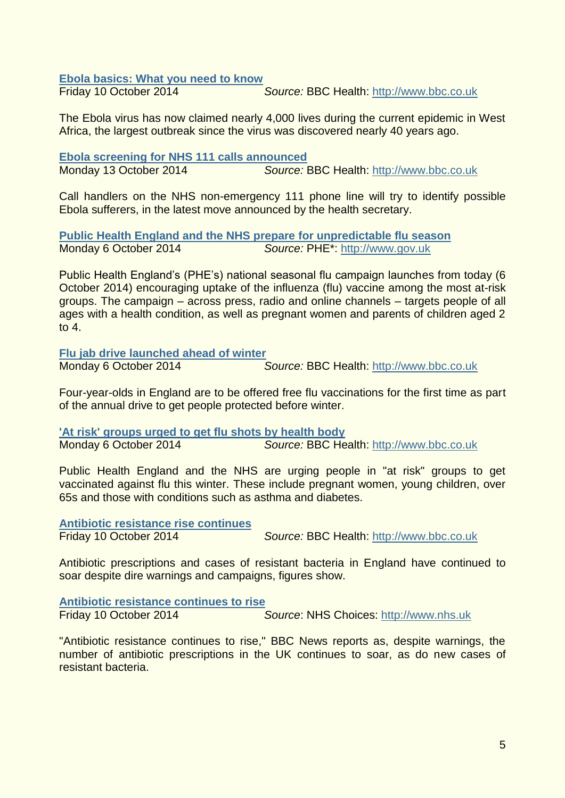#### **[Ebola basics: What you need to know](http://www.bbc.co.uk/news/health-29556006)**

Friday 10 October 2014 *Source:* BBC Health: [http://www.bbc.co.uk](http://www.bbc.co.uk/)

The Ebola virus has now claimed nearly 4,000 lives during the current epidemic in West Africa, the largest outbreak since the virus was discovered nearly 40 years ago.

**[Ebola screening for NHS 111 calls announced](http://www.bbc.co.uk/news/uk-29591561)** Monday 13 October 2014 *Source:* BBC Health: [http://www.bbc.co.uk](http://www.bbc.co.uk/)

Call handlers on the NHS non-emergency 111 phone line will try to identify possible Ebola sufferers, in the latest move announced by the health secretary.

**[Public Health England and the NHS prepare for unpredictable flu season](https://www.gov.uk/government/news/public-health-england-and-the-nhs-prepare-for-unpredictable-flu-season)** Monday 6 October 2014 *Source:* PHE\*: [http://www.gov.uk](http://www.gov.uk/)

Public Health England's (PHE's) national seasonal flu campaign launches from today (6 October 2014) encouraging uptake of the influenza (flu) vaccine among the most at-risk groups. The campaign – across press, radio and online channels – targets people of all ages with a health condition, as well as pregnant women and parents of children aged 2 to 4.

**[Flu jab drive launched ahead of winter](http://www.bbc.co.uk/news/health-29477961)**

Monday 6 October 2014 *Source:* BBC Health: [http://www.bbc.co.uk](http://www.bbc.co.uk/)

Four-year-olds in England are to be offered free flu vaccinations for the first time as part of the annual drive to get people protected before winter.

**['At risk' groups urged to get flu shots by health body](http://www.bbc.co.uk/news/health-29502501)**

Monday 6 October 2014 *Source:* BBC Health: [http://www.bbc.co.uk](http://www.bbc.co.uk/)

Public Health England and the NHS are urging people in "at risk" groups to get vaccinated against flu this winter. These include pregnant women, young children, over 65s and those with conditions such as asthma and diabetes.

**[Antibiotic resistance rise continues](http://www.bbc.co.uk/news/health-29553435)**

Friday 10 October 2014 *Source:* BBC Health: [http://www.bbc.co.uk](http://www.bbc.co.uk/)

Antibiotic prescriptions and cases of resistant bacteria in England have continued to soar despite dire warnings and campaigns, figures show.

**[Antibiotic resistance continues to rise](http://www.nhs.uk/news/2014/10October/Pages/Antibiotic-resistance-continues-to-rise.aspx)** Friday 10 October 2014 *Source*: NHS Choices: [http://www.nhs.uk](http://www.nhs.uk/)

"Antibiotic resistance continues to rise," BBC News reports as, despite warnings, the number of antibiotic prescriptions in the UK continues to soar, as do new cases of resistant bacteria.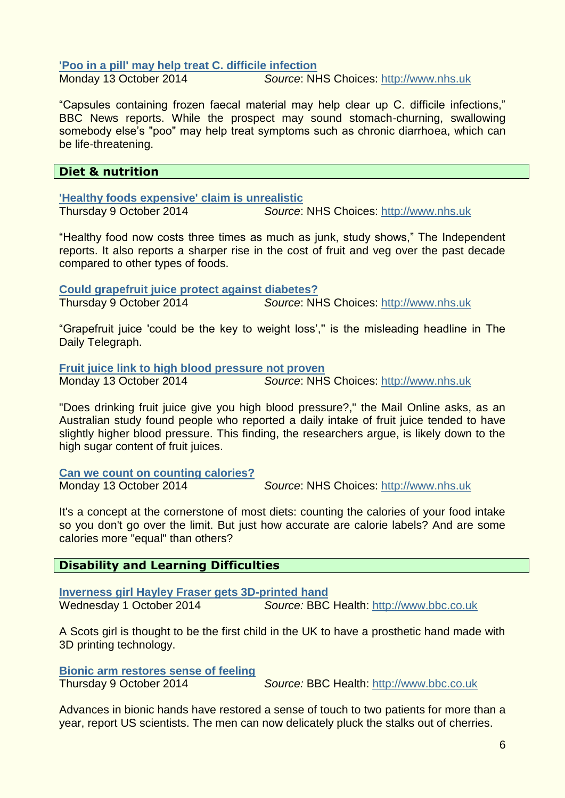#### **['Poo in a pill' may help treat C. difficile infection](http://www.nhs.uk/news/2014/10October/Pages/Poo-in-a-pill-may-help-treat-C-difficile-infection.aspx)**

Monday 13 October 2014 *Source*: NHS Choices: [http://www.nhs.uk](http://www.nhs.uk/)

"Capsules containing frozen faecal material may help clear up C. difficile infections," BBC News reports. While the prospect may sound stomach-churning, swallowing somebody else's "poo" may help treat symptoms such as chronic diarrhoea, which can be life-threatening.

### <span id="page-5-0"></span>**Diet & nutrition**

**['Healthy foods expensive' claim is unrealistic](http://www.nhs.uk/news/2014/10October/Pages/Healthy-food-costs-you-more-claim.aspx)**

Thursday 9 October 2014 *Source*: NHS Choices: [http://www.nhs.uk](http://www.nhs.uk/)

"Healthy food now costs three times as much as junk, study shows," The Independent reports. It also reports a sharper rise in the cost of fruit and veg over the past decade compared to other types of foods.

**[Could grapefruit juice protect against diabetes?](http://www.nhs.uk/news/2014/10October/Pages/Grapefruit-juice-may-protect-against-diabetes.aspx)** Thursday 9 October 2014 *Source*: NHS Choices: [http://www.nhs.uk](http://www.nhs.uk/)

"Grapefruit juice 'could be the key to weight loss','' is the misleading headline in The Daily Telegraph.

**[Fruit juice link to high blood pressure not proven](http://www.nhs.uk/news/2014/10October/Pages/Fruit-juice-link-to-high-blood-pressure-not-proven.aspx)**

Monday 13 October 2014 *Source*: NHS Choices: [http://www.nhs.uk](http://www.nhs.uk/)

"Does drinking fruit juice give you high blood pressure?," the Mail Online asks, as an Australian study found people who reported a daily intake of fruit juice tended to have slightly higher blood pressure. This finding, the researchers argue, is likely down to the high sugar content of fruit juices.

**[Can we count on counting calories?](http://www.nhs.uk/news/2014/10October/Pages/Can-we-count-on-counting-calories.aspx)**

Monday 13 October 2014 *Source*: NHS Choices: [http://www.nhs.uk](http://www.nhs.uk/)

It's a concept at the cornerstone of most diets: counting the calories of your food intake so you don't go over the limit. But just how accurate are calorie labels? And are some calories more "equal" than others?

### <span id="page-5-1"></span>**Disability and Learning Difficulties**

**[Inverness girl Hayley Fraser gets 3D-printed hand](http://www.bbc.co.uk/news/uk-scotland-highlands-islands-29441115)** Wednesday 1 October 2014 *Source:* BBC Health: [http://www.bbc.co.uk](http://www.bbc.co.uk/)

A Scots girl is thought to be the first child in the UK to have a prosthetic hand made with 3D printing technology.

**[Bionic arm restores sense of feeling](http://www.bbc.co.uk/news/health-29538385)**

Thursday 9 October 2014 *Source:* BBC Health: [http://www.bbc.co.uk](http://www.bbc.co.uk/)

Advances in bionic hands have restored a sense of touch to two patients for more than a year, report US scientists. The men can now delicately pluck the stalks out of cherries.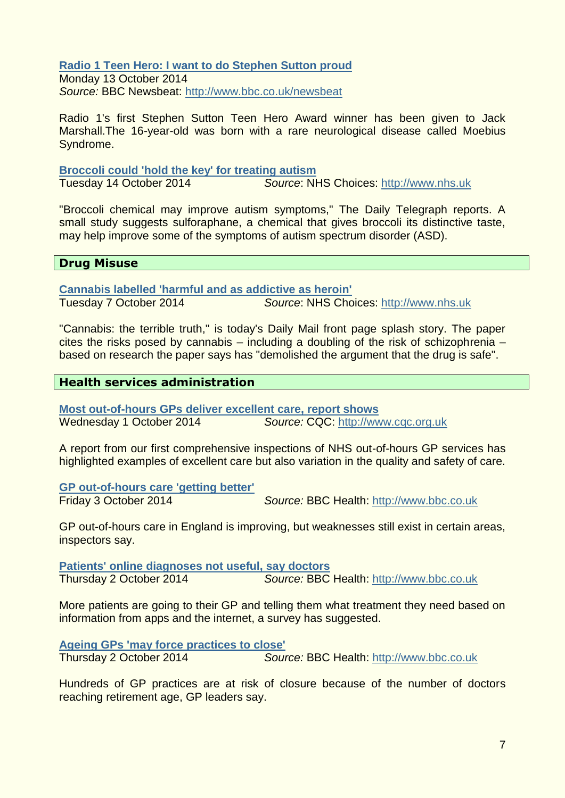**[Radio 1 Teen Hero: I want to do Stephen Sutton proud](http://www.bbc.co.uk/newsbeat/29576996#sa-ns_mchannel=rss&ns_source=PublicRSS20-sa)** Monday 13 October 2014

*Source:* BBC Newsbeat:<http://www.bbc.co.uk/newsbeat>

Radio 1's first Stephen Sutton Teen Hero Award winner has been given to Jack Marshall.The 16-year-old was born with a rare neurological disease called Moebius Syndrome.

#### **[Broccoli could 'hold the key' for treating autism](http://www.nhs.uk/news/2014/10October/Pages/Broccoli%20could-hold-the-key-for-treating-autism.aspx)** Source: NHS Choices: [http://www.nhs.uk](http://www.nhs.uk/)

"Broccoli chemical may improve autism symptoms," The Daily Telegraph reports. A small study suggests sulforaphane, a chemical that gives broccoli its distinctive taste, may help improve some of the symptoms of autism spectrum disorder (ASD).

### <span id="page-6-0"></span>**Drug Misuse**

**[Cannabis labelled 'harmful and as addictive as heroin'](http://www.nhs.uk/news/2014/10October/Pages/cannabis-labelled-harmful-and-as-addictive-as-heroin.aspx)**

Tuesday 7 October 2014 *Source*: NHS Choices: [http://www.nhs.uk](http://www.nhs.uk/)

"Cannabis: the terrible truth," is today's Daily Mail front page splash story. The paper cites the risks posed by cannabis – including a doubling of the risk of schizophrenia – based on research the paper says has "demolished the argument that the drug is safe".

# <span id="page-6-1"></span>**Health services administration**

**[Most out-of-hours GPs deliver excellent care, report shows](http://www.cqc.org.uk/content/most-out-hours-gps-deliver-excellent-care-report-shows)** Wednesday 1 October 2014 *Source:* CQC: [http://www.cqc.org.uk](http://www.cqc.org.uk/)

A report from our first comprehensive inspections of NHS out-of-hours GP services has highlighted examples of excellent care but also variation in the quality and safety of care.

**[GP out-of-hours care 'getting better'](http://www.bbc.co.uk/news/health-29467412)** Friday 3 October 2014 *Source:* BBC Health: [http://www.bbc.co.uk](http://www.bbc.co.uk/)

GP out-of-hours care in England is improving, but weaknesses still exist in certain areas, inspectors say.

**[Patients' online diagnoses not useful, say doctors](http://www.bbc.co.uk/news/technology-29458143)** Thursday 2 October 2014 *Source:* BBC Health: [http://www.bbc.co.uk](http://www.bbc.co.uk/)

More patients are going to their GP and telling them what treatment they need based on information from apps and the internet, a survey has suggested.

**[Ageing GPs 'may force practices to close'](http://www.bbc.co.uk/news/health-29440139)** Thursday 2 October 2014 *Source:* BBC Health: [http://www.bbc.co.uk](http://www.bbc.co.uk/)

Hundreds of GP practices are at risk of closure because of the number of doctors reaching retirement age, GP leaders say.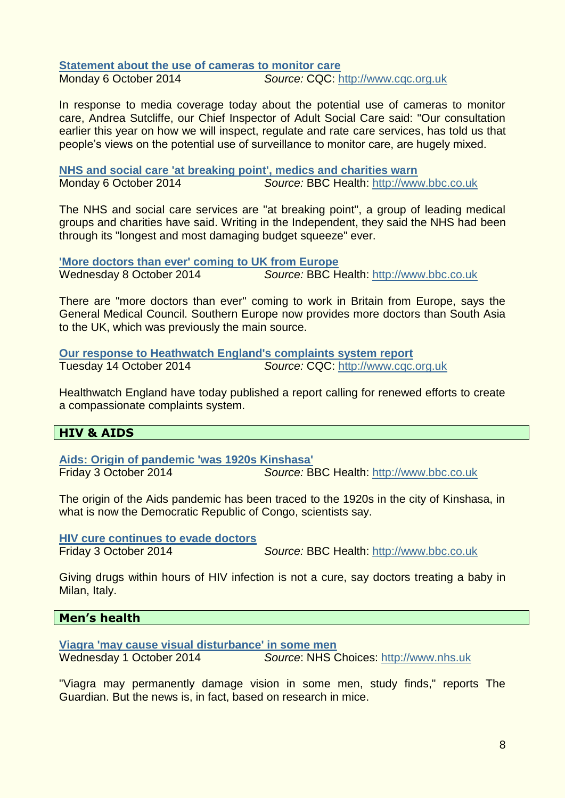**[Statement about the use of cameras to monitor care](http://www.cqc.org.uk/content/statement-about-use-cameras-monitor-care)** Monday 6 October 2014 *Source:* CQC: [http://www.cqc.org.uk](http://www.cqc.org.uk/)

In response to media coverage today about the potential use of cameras to monitor care, Andrea Sutcliffe, our Chief Inspector of Adult Social Care said: "Our consultation earlier this year on how we will inspect, regulate and rate care services, has told us that people's views on the potential use of surveillance to monitor care, are hugely mixed.

**[NHS and social care 'at breaking point', medics and charities warn](http://www.bbc.co.uk/news/uk-29501588)** Monday 6 October 2014 *Source:* BBC Health: [http://www.bbc.co.uk](http://www.bbc.co.uk/)

The NHS and social care services are "at breaking point", a group of leading medical groups and charities have said. Writing in the Independent, they said the NHS had been through its "longest and most damaging budget squeeze" ever.

**['More doctors than ever' coming to UK from Europe](http://www.bbc.co.uk/news/health-29525247)** Wednesday 8 October 2014 *Source:* BBC Health: [http://www.bbc.co.uk](http://www.bbc.co.uk/)

There are "more doctors than ever" coming to work in Britain from Europe, says the General Medical Council. Southern Europe now provides more doctors than South Asia to the UK, which was previously the main source.

**[Our response to Heathwatch England's complaints system report](http://www.cqc.org.uk/content/our-response-heathwatch-englands-complaints-system-report)** Tuesday 14 October 2014 *Source:* CQC: [http://www.cqc.org.uk](http://www.cqc.org.uk/)

Healthwatch England have today published a report calling for renewed efforts to create a compassionate complaints system.

### <span id="page-7-0"></span>**HIV & AIDS**

**[Aids: Origin of pandemic 'was 1920s Kinshasa'](http://www.bbc.co.uk/news/health-29442642)** Friday 3 October 2014 *Source:* BBC Health: [http://www.bbc.co.uk](http://www.bbc.co.uk/)

The origin of the Aids pandemic has been traced to the 1920s in the city of Kinshasa, in what is now the Democratic Republic of Congo, scientists say.

**[HIV cure continues to evade doctors](http://www.bbc.co.uk/news/health-29460198)**

Friday 3 October 2014 *Source:* BBC Health: [http://www.bbc.co.uk](http://www.bbc.co.uk/)

Giving drugs within hours of HIV infection is not a cure, say doctors treating a baby in Milan, Italy.

### <span id="page-7-1"></span>**Men's health**

**[Viagra 'may cause visual disturbance' in some men](http://www.nhs.uk/news/2014/10October/Pages/Viagra-may-cause-visual-disturbance-in-some-men.aspx)**

Wednesday 1 October 2014 *Source*: NHS Choices: [http://www.nhs.uk](http://www.nhs.uk/)

"Viagra may permanently damage vision in some men, study finds," reports The Guardian. But the news is, in fact, based on research in mice.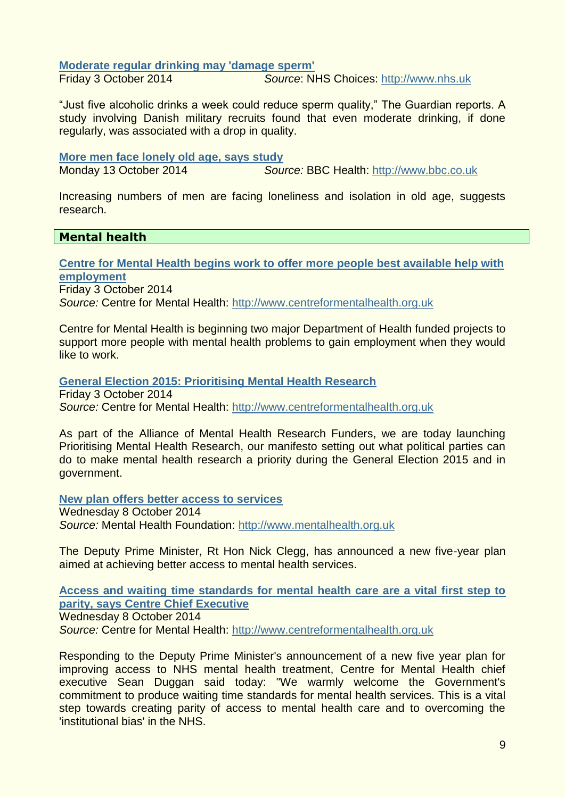**[Moderate regular drinking may 'damage sperm'](http://www.nhs.uk/news/2014/10October/Pages/Moderate-regular-drinking-may-still-damage-sperm.aspx)**

Friday 3 October 2014 *Source*: NHS Choices: [http://www.nhs.uk](http://www.nhs.uk/)

"Just five alcoholic drinks a week could reduce sperm quality," The Guardian reports. A study involving Danish military recruits found that even moderate drinking, if done regularly, was associated with a drop in quality.

#### **[More men face lonely old age, says study](http://www.bbc.co.uk/news/education-29567565)**

Monday 13 October 2014 *Source:* BBC Health: [http://www.bbc.co.uk](http://www.bbc.co.uk/)

Increasing numbers of men are facing loneliness and isolation in old age, suggests research.

### <span id="page-8-0"></span>**Mental health**

**[Centre for Mental Health begins work to offer more people best available help with](http://www.centreformentalhealth.org.uk/news/2014_IESD_employment_project.aspx?utm_source=feedburner&utm_medium=feed&utm_campaign=Feed%3A+CentreForMentalHealth_PressReleases+%28Centre+for+Mental+Health+Press+Releases%29)  [employment](http://www.centreformentalhealth.org.uk/news/2014_IESD_employment_project.aspx?utm_source=feedburner&utm_medium=feed&utm_campaign=Feed%3A+CentreForMentalHealth_PressReleases+%28Centre+for+Mental+Health+Press+Releases%29)** Friday 3 October 2014 *Source:* Centre for Mental Health: [http://www.centreformentalhealth.org.uk](http://www.centreformentalhealth.org.uk/)

Centre for Mental Health is beginning two major Department of Health funded projects to support more people with mental health problems to gain employment when they would like to work.

**[General Election 2015: Prioritising Mental Health Research](http://www.centreformentalhealth.org.uk/news/2014_mh_research_manifesto.aspx?utm_source=feedburner&utm_medium=feed&utm_campaign=Feed%3A+CentreForMentalHealth_PressReleases+%28Centre+for+Mental+Health+Press+Releases%29)** Friday 3 October 2014 *Source:* Centre for Mental Health: [http://www.centreformentalhealth.org.uk](http://www.centreformentalhealth.org.uk/)

As part of the Alliance of Mental Health Research Funders, we are today launching Prioritising Mental Health Research, our manifesto setting out what political parties can do to make mental health research a priority during the General Election 2015 and in government.

**[New plan offers better access to services](http://www.mentalhealth.org.uk/our-news/news-archive/2014/2014-10-08-five-year-plan/)** Wednesday 8 October 2014

*Source:* Mental Health Foundation: [http://www.mentalhealth.org.uk](http://www.mentalhealth.org.uk/)

The Deputy Prime Minister, Rt Hon Nick Clegg, has announced a new five-year plan aimed at achieving better access to mental health services.

**[Access and waiting time standards for mental health care are a vital first step to](http://www.centreformentalhealth.org.uk/news/2014_access_and_waiting_announcement.aspx?utm_source=feedburner&utm_medium=feed&utm_campaign=Feed%3A+CentreForMentalHealth_PressReleases+%28Centre+for+Mental+Health+Press+Releases%29)  [parity, says Centre Chief Executive](http://www.centreformentalhealth.org.uk/news/2014_access_and_waiting_announcement.aspx?utm_source=feedburner&utm_medium=feed&utm_campaign=Feed%3A+CentreForMentalHealth_PressReleases+%28Centre+for+Mental+Health+Press+Releases%29)**

Wednesday 8 October 2014 *Source:* Centre for Mental Health: [http://www.centreformentalhealth.org.uk](http://www.centreformentalhealth.org.uk/)

Responding to the Deputy Prime Minister's announcement of a new five year plan for improving access to NHS mental health treatment, Centre for Mental Health chief executive Sean Duggan said today: "We warmly welcome the Government's commitment to produce waiting time standards for mental health services. This is a vital step towards creating parity of access to mental health care and to overcoming the 'institutional bias' in the NHS.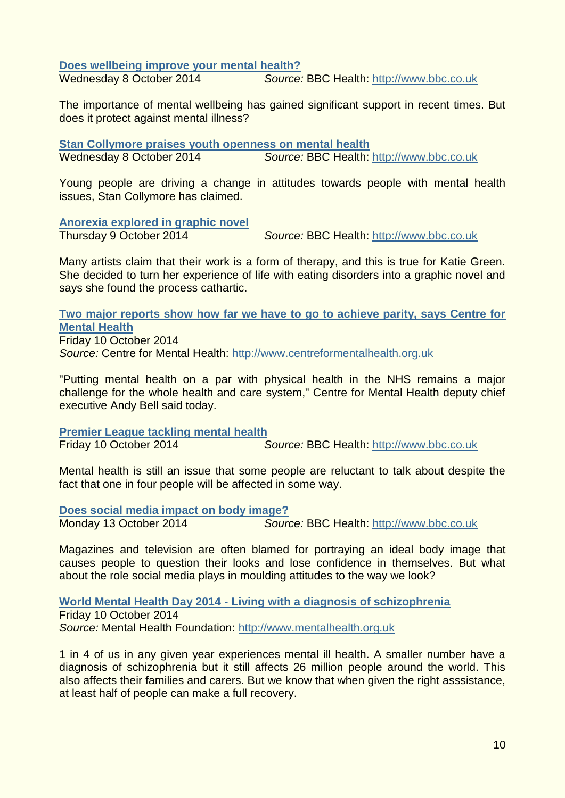**[Does wellbeing improve your mental health?](http://www.bbc.co.uk/news/blogs-ouch-29505317)**<br>Wednesday 8 October 2014 **Source**:

Source: BBC Health: [http://www.bbc.co.uk](http://www.bbc.co.uk/)

The importance of mental wellbeing has gained significant support in recent times. But does it protect against mental illness?

**[Stan Collymore praises youth openness on mental health](http://www.bbc.co.uk/news/health-29531721)** Wednesday 8 October 2014 *Source:* BBC Health: [http://www.bbc.co.uk](http://www.bbc.co.uk/)

Young people are driving a change in attitudes towards people with mental health issues, Stan Collymore has claimed.

**[Anorexia explored in graphic novel](http://www.bbc.co.uk/news/magazine-29535202)**

Thursday 9 October 2014 *Source:* BBC Health: [http://www.bbc.co.uk](http://www.bbc.co.uk/)

Many artists claim that their work is a form of therapy, and this is true for Katie Green. She decided to turn her experience of life with eating disorders into a graphic novel and says she found the process cathartic.

**[Two major reports show how far we have to go to achieve parity, says Centre for](http://www.centreformentalhealth.org.uk/news/2014_achieve_parity.aspx?utm_source=feedburner&utm_medium=feed&utm_campaign=Feed%3A+CentreForMentalHealth_PressReleases+%28Centre+for+Mental+Health+Press+Releases%29)  [Mental Health](http://www.centreformentalhealth.org.uk/news/2014_achieve_parity.aspx?utm_source=feedburner&utm_medium=feed&utm_campaign=Feed%3A+CentreForMentalHealth_PressReleases+%28Centre+for+Mental+Health+Press+Releases%29)** Friday 10 October 2014

*Source:* Centre for Mental Health: [http://www.centreformentalhealth.org.uk](http://www.centreformentalhealth.org.uk/)

"Putting mental health on a par with physical health in the NHS remains a major challenge for the whole health and care system," Centre for Mental Health deputy chief executive Andy Bell said today.

**[Premier League tackling mental health](http://www.bbc.co.uk/news/health-29543252)** Friday 10 October 2014 *Source:* BBC Health: [http://www.bbc.co.uk](http://www.bbc.co.uk/)

Mental health is still an issue that some people are reluctant to talk about despite the fact that one in four people will be affected in some way.

**[Does social media impact on body image?](http://www.bbc.co.uk/news/health-29569473)**

Monday 13 October 2014 *Source:* BBC Health: [http://www.bbc.co.uk](http://www.bbc.co.uk/)

Magazines and television are often blamed for portraying an ideal body image that causes people to question their looks and lose confidence in themselves. But what about the role social media plays in moulding attitudes to the way we look?

**World Mental Health Day 2014 - [Living with a diagnosis of schizophrenia](http://www.mentalhealth.org.uk/our-news/news-archive/2014/231007/)**

Friday 10 October 2014 *Source:* Mental Health Foundation: [http://www.mentalhealth.org.uk](http://www.mentalhealth.org.uk/)

1 in 4 of us in any given year experiences mental ill health. A smaller number have a diagnosis of schizophrenia but it still affects 26 million people around the world. This also affects their families and carers. But we know that when given the right asssistance, at least half of people can make a full recovery.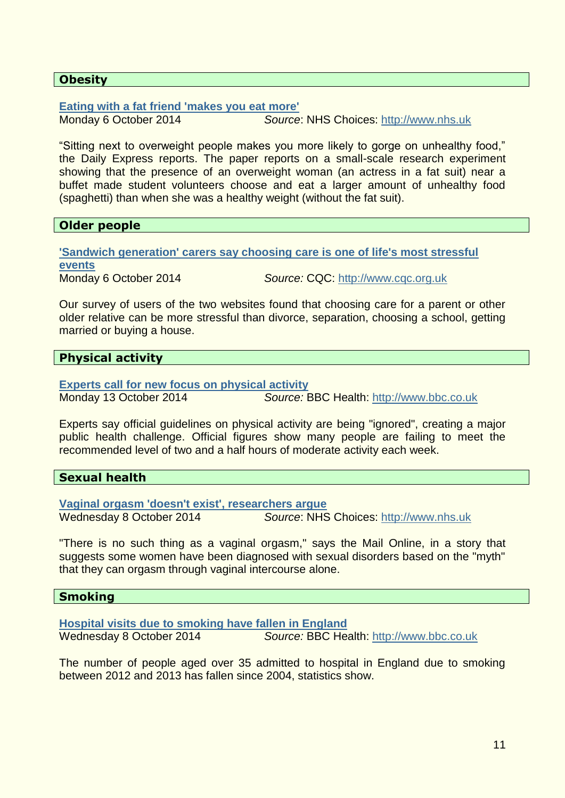### <span id="page-10-0"></span>**Obesity**

**[Eating with a fat friend 'makes you eat more'](http://www.nhs.uk/news/2014/10October/Pages/Eating-with-a-fat-friend-makes-you-eat-more-claim.aspx)**

Monday 6 October 2014 *Source*: NHS Choices: [http://www.nhs.uk](http://www.nhs.uk/)

"Sitting next to overweight people makes you more likely to gorge on unhealthy food," the Daily Express reports. The paper reports on a small-scale research experiment showing that the presence of an overweight woman (an actress in a fat suit) near a buffet made student volunteers choose and eat a larger amount of unhealthy food (spaghetti) than when she was a healthy weight (without the fat suit).

# <span id="page-10-1"></span>**Older people**

**['Sandwich generation' carers say choosing care is one of life's most stressful](http://www.cqc.org.uk/content/sandwich-generation-carers-say-choosing-care-one-lifes-most-stressful-events)  [events](http://www.cqc.org.uk/content/sandwich-generation-carers-say-choosing-care-one-lifes-most-stressful-events)** Monday 6 October 2014 *Source:* CQC: [http://www.cqc.org.uk](http://www.cqc.org.uk/)

Our survey of users of the two websites found that choosing care for a parent or other older relative can be more stressful than divorce, separation, choosing a school, getting married or buying a house.

# <span id="page-10-2"></span>**Physical activity**

**[Experts call for new focus on physical activity](http://www.bbc.co.uk/news/health-29513167)** Monday 13 October 2014 *Source:* BBC Health: [http://www.bbc.co.uk](http://www.bbc.co.uk/)

Experts say official guidelines on physical activity are being "ignored", creating a major public health challenge. Official figures show many people are failing to meet the recommended level of two and a half hours of moderate activity each week.

### <span id="page-10-3"></span>**Sexual health**

**[Vaginal orgasm 'doesn't exist', researchers argue](http://www.nhs.uk/news/2014/10October/Pages/Vaginal-orgasm-doesnt-exist-researchers-argue.aspx)** Wednesday 8 October 2014 *Source*: NHS Choices: [http://www.nhs.uk](http://www.nhs.uk/)

"There is no such thing as a vaginal orgasm," says the Mail Online, in a story that suggests some women have been diagnosed with sexual disorders based on the "myth" that they can orgasm through vaginal intercourse alone.

### <span id="page-10-4"></span>**Smoking**

**[Hospital visits due to smoking have fallen in England](http://www.bbc.co.uk/news/health-29534854)** Wednesday 8 October 2014 *Source:* BBC Health: [http://www.bbc.co.uk](http://www.bbc.co.uk/)

The number of people aged over 35 admitted to hospital in England due to smoking between 2012 and 2013 has fallen since 2004, statistics show.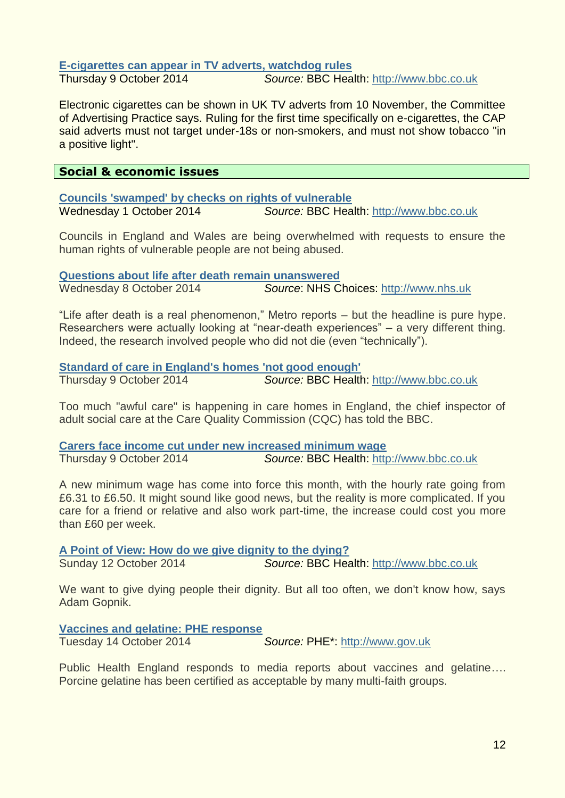# **[E-cigarettes can appear in TV adverts, watchdog rules](http://www.bbc.co.uk/news/uk-29553288)**

Thursday 9 October 2014 *Source:* BBC Health: [http://www.bbc.co.uk](http://www.bbc.co.uk/)

Electronic cigarettes can be shown in UK TV adverts from 10 November, the Committee of Advertising Practice says. Ruling for the first time specifically on e-cigarettes, the CAP said adverts must not target under-18s or non-smokers, and must not show tobacco "in a positive light".

# <span id="page-11-0"></span>**Social & economic issues**

**[Councils 'swamped' by checks on rights of vulnerable](http://www.bbc.co.uk/news/health-29434519)** Wednesday 1 October 2014 *Source:* BBC Health: [http://www.bbc.co.uk](http://www.bbc.co.uk/)

Councils in England and Wales are being overwhelmed with requests to ensure the human rights of vulnerable people are not being abused.

**[Questions about life after death remain unanswered](http://www.nhs.uk/news/2014/10October/Pages/Whether-theres-life-after-death-remains-a-mystery.aspx)**

Wednesday 8 October 2014 *Source*: NHS Choices: [http://www.nhs.uk](http://www.nhs.uk/)

"Life after death is a real phenomenon," Metro reports – but the headline is pure hype. Researchers were actually looking at "near-death experiences" – a very different thing. Indeed, the research involved people who did not die (even "technically").

### **[Standard of care in England's homes](http://www.bbc.co.uk/news/uk-29547598) 'not good enough'**

Thursday 9 October 2014 *Source:* BBC Health: [http://www.bbc.co.uk](http://www.bbc.co.uk/)

Too much "awful care" is happening in care homes in England, the chief inspector of adult social care at the Care Quality Commission (CQC) has told the BBC.

**[Carers face income cut under new increased minimum wage](http://www.bbc.co.uk/news/business-29547987)** Thursday 9 October 2014 *Source:* BBC Health: [http://www.bbc.co.uk](http://www.bbc.co.uk/)

A new minimum wage has come into force this month, with the hourly rate going from £6.31 to £6.50. It might sound like good news, but the reality is more complicated. If you care for a friend or relative and also work part-time, the increase could cost you more than £60 per week.

**[A Point of View: How do we give dignity to the dying?](http://www.bbc.co.uk/news/magazine-29565968)**

Sunday 12 October 2014 *Source:* BBC Health: [http://www.bbc.co.uk](http://www.bbc.co.uk/)

We want to give dying people their dignity. But all too often, we don't know how, says

Adam Gopnik.

**[Vaccines and gelatine: PHE response](https://www.gov.uk/government/news/vaccines-and-gelatine-phe-response)**

Tuesday 14 October 2014 *Source:* PHE\*: [http://www.gov.uk](http://www.gov.uk/)

Public Health England responds to media reports about vaccines and gelatine…. Porcine gelatine has been certified as acceptable by many multi-faith groups.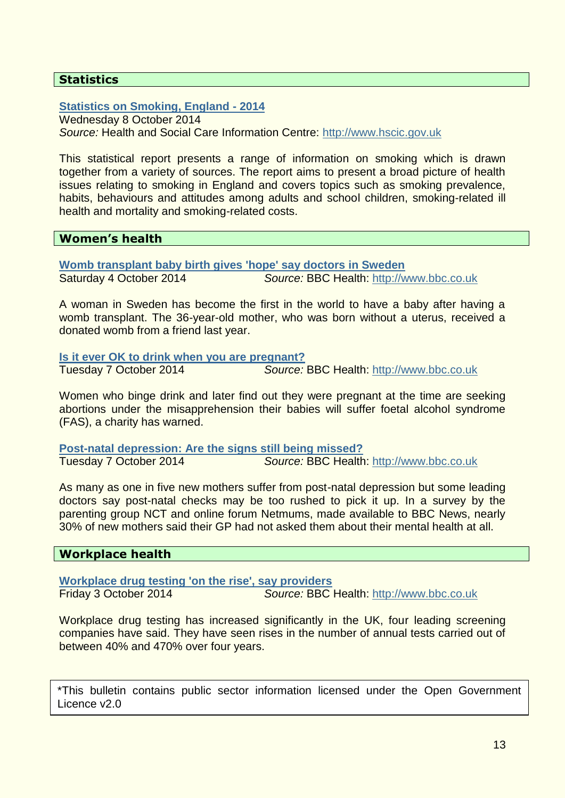# <span id="page-12-0"></span>**Statistics**

### **[Statistics on Smoking, England -](http://www.hscic.gov.uk/catalogue/PUB14988) 2014**

Wednesday 8 October 2014 *Source:* Health and Social Care Information Centre: [http://www.hscic.gov.uk](http://www.hscic.gov.uk/)

This statistical report presents a range of information on smoking which is drawn together from a variety of sources. The report aims to present a broad picture of health issues relating to smoking in England and covers topics such as smoking prevalence, habits, behaviours and attitudes among adults and school children, smoking-related ill health and mortality and smoking-related costs.

### <span id="page-12-1"></span>**Women's health**

**[Womb transplant baby birth gives 'hope' say doctors in Sweden](http://www.bbc.co.uk/news/health-29488685)** Saturday 4 October 2014 *Source:* BBC Health: [http://www.bbc.co.uk](http://www.bbc.co.uk/)

A woman in Sweden has become the first in the world to have a baby after having a womb transplant. The 36-year-old mother, who was born without a uterus, received a donated womb from a friend last year.

**[Is it ever OK to drink when you are pregnant?](http://www.bbc.co.uk/news/health-29519947)**

Tuesday 7 October 2014 *Source:* BBC Health: [http://www.bbc.co.uk](http://www.bbc.co.uk/)

Women who binge drink and later find out they were pregnant at the time are seeking abortions under the misapprehension their babies will suffer foetal alcohol syndrome (FAS), a charity has warned.

**[Post-natal depression: Are the signs still being missed?](http://www.bbc.co.uk/news/health-29523612)** Tuesday 7 October 2014 *Source:* BBC Health: [http://www.bbc.co.uk](http://www.bbc.co.uk/)

As many as one in five new mothers suffer from post-natal depression but some leading doctors say post-natal checks may be too rushed to pick it up. In a survey by the parenting group NCT and online forum Netmums, made available to BBC News, nearly 30% of new mothers said their GP had not asked them about their mental health at all.

### <span id="page-12-2"></span>**Workplace health**

**[Workplace drug testing 'on the rise', say providers](http://www.bbc.co.uk/news/uk-29465755)** Friday 3 October 2014 *Source:* BBC Health: [http://www.bbc.co.uk](http://www.bbc.co.uk/)

Workplace drug testing has increased significantly in the UK, four leading screening companies have said. They have seen rises in the number of annual tests carried out of between 40% and 470% over four years.

\*This bulletin contains public sector information licensed under the Open Government Licence v2.0